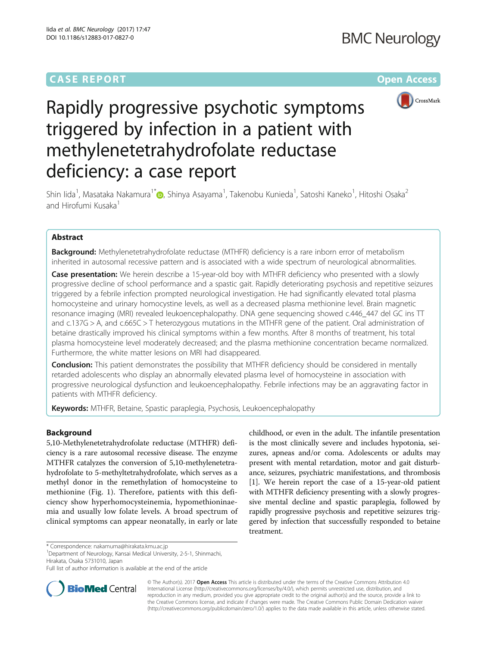# **CASE REPORT CASE ACCESS**



# Rapidly progressive psychotic symptoms triggered by infection in a patient with methylenetetrahydrofolate reductase deficiency: a case report

Shin Iida<sup>1</sup>, Masataka Nakamura<sup>1[\\*](http://orcid.org/0000-0002-0439-5682)</sup>@, Shinya Asayama<sup>1</sup>, Takenobu Kunieda<sup>1</sup>, Satoshi Kaneko<sup>1</sup>, Hitoshi Osaka<sup>2</sup> and Hirofumi Kusaka<sup>1</sup>

# Abstract

**Background:** Methylenetetrahydrofolate reductase (MTHFR) deficiency is a rare inborn error of metabolism inherited in autosomal recessive pattern and is associated with a wide spectrum of neurological abnormalities.

Case presentation: We herein describe a 15-year-old boy with MTHFR deficiency who presented with a slowly progressive decline of school performance and a spastic gait. Rapidly deteriorating psychosis and repetitive seizures triggered by a febrile infection prompted neurological investigation. He had significantly elevated total plasma homocysteine and urinary homocystine levels, as well as a decreased plasma methionine level. Brain magnetic resonance imaging (MRI) revealed leukoencephalopathy. DNA gene sequencing showed c.446\_447 del GC ins TT and c.137G > A, and c.665C > T heterozygous mutations in the MTHFR gene of the patient. Oral administration of betaine drastically improved his clinical symptoms within a few months. After 8 months of treatment, his total plasma homocysteine level moderately decreased; and the plasma methionine concentration became normalized. Furthermore, the white matter lesions on MRI had disappeared.

**Conclusion:** This patient demonstrates the possibility that MTHFR deficiency should be considered in mentally retarded adolescents who display an abnormally elevated plasma level of homocysteine in association with progressive neurological dysfunction and leukoencephalopathy. Febrile infections may be an aggravating factor in patients with MTHFR deficiency.

Keywords: MTHFR, Betaine, Spastic paraplegia, Psychosis, Leukoencephalopathy

# Background

5,10-Methylenetetrahydrofolate reductase (MTHFR) deficiency is a rare autosomal recessive disease. The enzyme MTHFR catalyzes the conversion of 5,10-methylenetetrahydrofolate to 5-methyltetrahydrofolate, which serves as a methyl donor in the remethylation of homocysteine to methionine (Fig. [1\)](#page-1-0). Therefore, patients with this deficiency show hyperhomocysteinemia, hypomethioninaemia and usually low folate levels. A broad spectrum of clinical symptoms can appear neonatally, in early or late

childhood, or even in the adult. The infantile presentation is the most clinically severe and includes hypotonia, seizures, apneas and/or coma. Adolescents or adults may present with mental retardation, motor and gait disturbance, seizures, psychiatric manifestations, and thrombosis [[1\]](#page-3-0). We herein report the case of a 15-year-old patient with MTHFR deficiency presenting with a slowly progressive mental decline and spastic paraplegia, followed by rapidly progressive psychosis and repetitive seizures triggered by infection that successfully responded to betaine treatment.

\* Correspondence: [nakamuma@hirakata.kmu.ac.jp](mailto:nakamuma@hirakata.kmu.ac.jp) <sup>1</sup>

Department of Neurology, Kansai Medical University, 2-5-1, Shinmachi, Hirakata, Osaka 5731010, Japan

Full list of author information is available at the end of the article



© The Author(s). 2017 **Open Access** This article is distributed under the terms of the Creative Commons Attribution 4.0 International License [\(http://creativecommons.org/licenses/by/4.0/](http://creativecommons.org/licenses/by/4.0/)), which permits unrestricted use, distribution, and reproduction in any medium, provided you give appropriate credit to the original author(s) and the source, provide a link to the Creative Commons license, and indicate if changes were made. The Creative Commons Public Domain Dedication waiver [\(http://creativecommons.org/publicdomain/zero/1.0/](http://creativecommons.org/publicdomain/zero/1.0/)) applies to the data made available in this article, unless otherwise stated.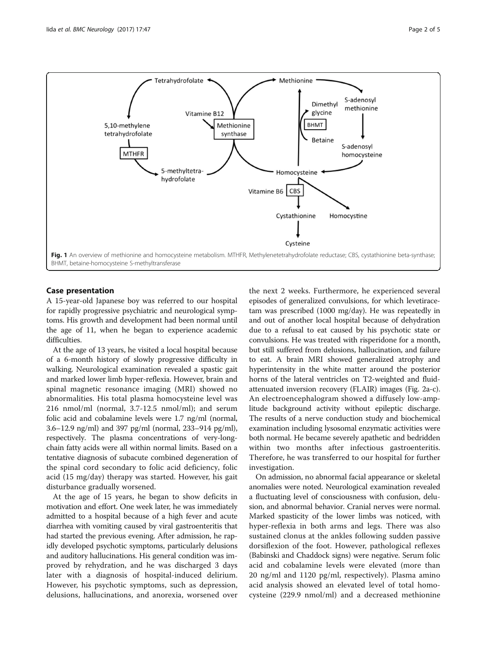<span id="page-1-0"></span>

## Case presentation

A 15-year-old Japanese boy was referred to our hospital for rapidly progressive psychiatric and neurological symptoms. His growth and development had been normal until the age of 11, when he began to experience academic difficulties.

At the age of 13 years, he visited a local hospital because of a 6-month history of slowly progressive difficulty in walking. Neurological examination revealed a spastic gait and marked lower limb hyper-reflexia. However, brain and spinal magnetic resonance imaging (MRI) showed no abnormalities. His total plasma homocysteine level was 216 nmol/ml (normal, 3.7-12.5 nmol/ml); and serum folic acid and cobalamine levels were 1.7 ng/ml (normal, 3.6–12.9 ng/ml) and 397 pg/ml (normal, 233–914 pg/ml), respectively. The plasma concentrations of very-longchain fatty acids were all within normal limits. Based on a tentative diagnosis of subacute combined degeneration of the spinal cord secondary to folic acid deficiency, folic acid (15 mg/day) therapy was started. However, his gait disturbance gradually worsened.

At the age of 15 years, he began to show deficits in motivation and effort. One week later, he was immediately admitted to a hospital because of a high fever and acute diarrhea with vomiting caused by viral gastroenteritis that had started the previous evening. After admission, he rapidly developed psychotic symptoms, particularly delusions and auditory hallucinations. His general condition was improved by rehydration, and he was discharged 3 days later with a diagnosis of hospital-induced delirium. However, his psychotic symptoms, such as depression, delusions, hallucinations, and anorexia, worsened over

the next 2 weeks. Furthermore, he experienced several episodes of generalized convulsions, for which levetiracetam was prescribed (1000 mg/day). He was repeatedly in and out of another local hospital because of dehydration due to a refusal to eat caused by his psychotic state or convulsions. He was treated with risperidone for a month, but still suffered from delusions, hallucination, and failure to eat. A brain MRI showed generalized atrophy and hyperintensity in the white matter around the posterior horns of the lateral ventricles on T2-weighted and fluidattenuated inversion recovery (FLAIR) images (Fig. [2a-c](#page-2-0)). An electroencephalogram showed a diffusely low-amplitude background activity without epileptic discharge. The results of a nerve conduction study and biochemical examination including lysosomal enzymatic activities were both normal. He became severely apathetic and bedridden within two months after infectious gastroenteritis. Therefore, he was transferred to our hospital for further investigation.

On admission, no abnormal facial appearance or skeletal anomalies were noted. Neurological examination revealed a fluctuating level of consciousness with confusion, delusion, and abnormal behavior. Cranial nerves were normal. Marked spasticity of the lower limbs was noticed, with hyper-reflexia in both arms and legs. There was also sustained clonus at the ankles following sudden passive dorsiflexion of the foot. However, pathological reflexes (Babinski and Chaddock signs) were negative. Serum folic acid and cobalamine levels were elevated (more than 20 ng/ml and 1120 pg/ml, respectively). Plasma amino acid analysis showed an elevated level of total homocysteine (229.9 nmol/ml) and a decreased methionine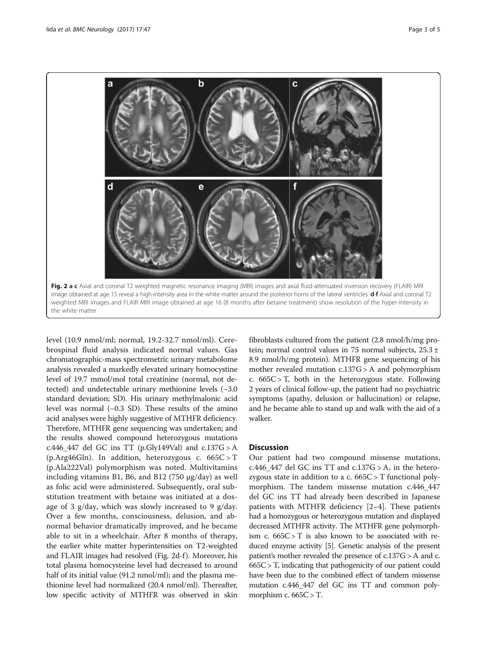<span id="page-2-0"></span>

level (10.9 nmol/ml; normal, 19.2-32.7 nmol/ml). Cerebrospinal fluid analysis indicated normal values. Gas chromatographic-mass spectrometric urinary metabolome analysis revealed a markedly elevated urinary homocystine level of 19.7 mmol/mol total creatinine (normal, not detected) and undetectable urinary methionine levels (−3.0 standard deviation; SD). His urinary methylmalonic acid level was normal (−0.3 SD). These results of the amino acid analyses were highly suggestive of MTHFR deficiency. Therefore, MTHFR gene sequencing was undertaken; and the results showed compound heterozygous mutations c.446\_447 del GC ins TT (p.Gly149Val) and  $c.137G > A$ (p.Arg46Gln). In addition, heterozygous c. 665C > T (p.Ala222Val) polymorphism was noted. Multivitamins including vitamins B1, B6, and B12 (750 μg/day) as well as folic acid were administered. Subsequently, oral substitution treatment with betaine was initiated at a dosage of 3 g/day, which was slowly increased to 9 g/day. Over a few months, consciousness, delusion, and abnormal behavior dramatically improved, and he became able to sit in a wheelchair. After 8 months of therapy, the earlier white matter hyperintensities on T2-weighted and FLAIR images had resolved (Fig. 2d-f). Moreover, his total plasma homocysteine level had decreased to around half of its initial value (91.2 nmol/ml); and the plasma methionine level had normalized (20.4 nmol/ml). Thereafter, low specific activity of MTHFR was observed in skin fibroblasts cultured from the patient (2.8 nmol/h/mg protein; normal control values in 75 normal subjects,  $25.3 \pm$ 8.9 nmol/h/mg protein). MTHFR gene sequencing of his mother revealed mutation c.137G > A and polymorphism c.  $665C > T$ , both in the heterozygous state. Following 2 years of clinical follow-up, the patient had no psychiatric symptoms (apathy, delusion or hallucination) or relapse, and he became able to stand up and walk with the aid of a walker.

# **Discussion**

Our patient had two compound missense mutations, c.446\_447 del GC ins TT and  $c.137G > A$ , in the heterozygous state in addition to a c.  $665C > T$  functional polymorphism. The tandem missense mutation c.446\_447 del GC ins TT had already been described in Japanese patients with MTHFR deficiency [[2](#page-4-0)–[4](#page-4-0)]. These patients had a homozygous or heterozygous mutation and displayed decreased MTHFR activity. The MTHFR gene polymorphism c.  $665C > T$  is also known to be associated with reduced enzyme activity [[5](#page-4-0)]. Genetic analysis of the present patient's mother revealed the presence of c.137G > A and c. 665C > T, indicating that pathogenicity of our patient could have been due to the combined effect of tandem missense mutation c.446\_447 del GC ins TT and common polymorphism c.  $665C > T$ .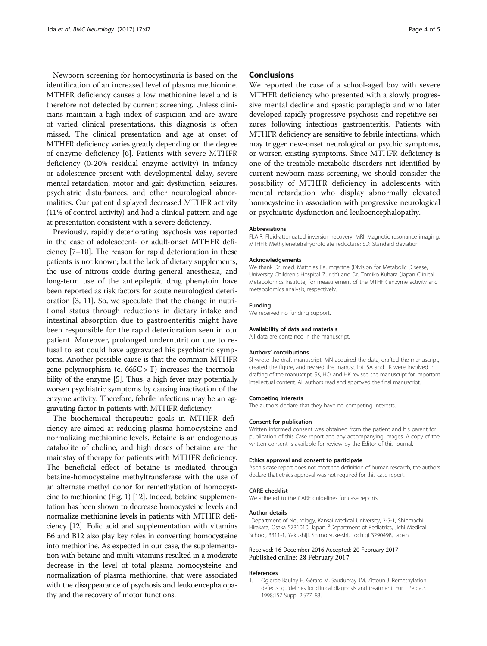<span id="page-3-0"></span>Newborn screening for homocystinuria is based on the identification of an increased level of plasma methionine. MTHFR deficiency causes a low methionine level and is therefore not detected by current screening. Unless clinicians maintain a high index of suspicion and are aware of varied clinical presentations, this diagnosis is often missed. The clinical presentation and age at onset of MTHFR deficiency varies greatly depending on the degree of enzyme deficiency [[6\]](#page-4-0). Patients with severe MTHFR deficiency (0-20% residual enzyme activity) in infancy or adolescence present with developmental delay, severe mental retardation, motor and gait dysfunction, seizures, psychiatric disturbances, and other neurological abnormalities. Our patient displayed decreased MTHFR activity (11% of control activity) and had a clinical pattern and age at presentation consistent with a severe deficiency.

Previously, rapidly deteriorating psychosis was reported in the case of adolesecent- or adult-onset MTHFR deficiency [\[7](#page-4-0)–[10](#page-4-0)]. The reason for rapid deterioration in these patients is not known; but the lack of dietary supplements, the use of nitrous oxide during general anesthesia, and long-term use of the antiepileptic drug phenytoin have been reported as risk factors for acute neurological deterioration [[3, 11\]](#page-4-0). So, we speculate that the change in nutritional status through reductions in dietary intake and intestinal absorption due to gastroenteritis might have been responsible for the rapid deterioration seen in our patient. Moreover, prolonged undernutrition due to refusal to eat could have aggravated his psychiatric symptoms. Another possible cause is that the common MTHFR gene polymorphism (c.  $665C > T$ ) increases the thermolability of the enzyme [[5](#page-4-0)]. Thus, a high fever may potentially worsen psychiatric symptoms by causing inactivation of the enzyme activity. Therefore, febrile infections may be an aggravating factor in patients with MTHFR deficiency.

The biochemical therapeutic goals in MTHFR deficiency are aimed at reducing plasma homocysteine and normalizing methionine levels. Betaine is an endogenous catabolite of choline, and high doses of betaine are the mainstay of therapy for patients with MTHFR deficiency. The beneficial effect of betaine is mediated through betaine-homocysteine methyltransferase with the use of an alternate methyl donor for remethylation of homocysteine to methionine (Fig. [1\)](#page-1-0) [\[12\]](#page-4-0). Indeed, betaine supplementation has been shown to decrease homocysteine levels and normalize methionine levels in patients with MTHFR deficiency [\[12](#page-4-0)]. Folic acid and supplementation with vitamins B6 and B12 also play key roles in converting homocysteine into methionine. As expected in our case, the supplementation with betaine and multi-vitamins resulted in a moderate decrease in the level of total plasma homocysteine and normalization of plasma methionine, that were associated with the disappearance of psychosis and leukoencephalopathy and the recovery of motor functions.

### **Conclusions**

We reported the case of a school-aged boy with severe MTHFR deficiency who presented with a slowly progressive mental decline and spastic paraplegia and who later developed rapidly progressive psychosis and repetitive seizures following infectious gastroenteritis. Patients with MTHFR deficiency are sensitive to febrile infections, which may trigger new-onset neurological or psychic symptoms, or worsen existing symptoms. Since MTHFR deficiency is one of the treatable metabolic disorders not identified by current newborn mass screening, we should consider the possibility of MTHFR deficiency in adolescents with mental retardation who display abnormally elevated homocysteine in association with progressive neurological or psychiatric dysfunction and leukoencephalopathy.

#### Abbreviations

FLAIR: Fluid-attenuated inversion recovery; MRI: Magnetic resonance imaging; MTHFR: Methylenetetrahydrofolate reductase; SD: Standard deviation

#### Acknowledgements

We thank Dr. med. Matthias Baumgartne (Division for Metabolic Disease, University Children's Hospital Zurich) and Dr. Tomiko Kuhara (Japan Clinical Metabolomics Institute) for measurement of the MTHFR enzyme activity and metabolomics analysis, respectively.

#### Funding

We received no funding support.

#### Availability of data and materials

All data are contained in the manuscript.

#### Authors' contributions

SI wrote the draft manuscript. MN acquired the data, drafted the manuscript, created the figure, and revised the manuscript. SA and TK were involved in drafting of the manuscript. SK, HO, and HK revised the manuscript for important intellectual content. All authors read and approved the final manuscript.

#### Competing interests

The authors declare that they have no competing interests.

#### Consent for publication

Written informed consent was obtained from the patient and his parent for publication of this Case report and any accompanying images. A copy of the written consent is available for review by the Editor of this journal.

#### Ethics approval and consent to participate

As this case report does not meet the definition of human research, the authors declare that ethics approval was not required for this case report.

#### CARE checklist

We adhered to the CARE guidelines for case reports.

#### Author details

<sup>1</sup>Department of Neurology, Kansai Medical University, 2-5-1, Shinmachi, Hirakata, Osaka 5731010, Japan. <sup>2</sup>Department of Pediatrics, Jichi Medical School, 3311-1, Yakushiji, Shimotsuke-shi, Tochigi 3290498, Japan.

#### Received: 16 December 2016 Accepted: 20 February 2017 Published online: 28 February 2017

#### References

1. Ogierde Baulny H, Gérard M, Saudubray JM, Zittoun J. Remethylation defects: guidelines for clinical diagnosis and treatment. Eur J Pediatr. 1998;157 Suppl 2:S77–83.